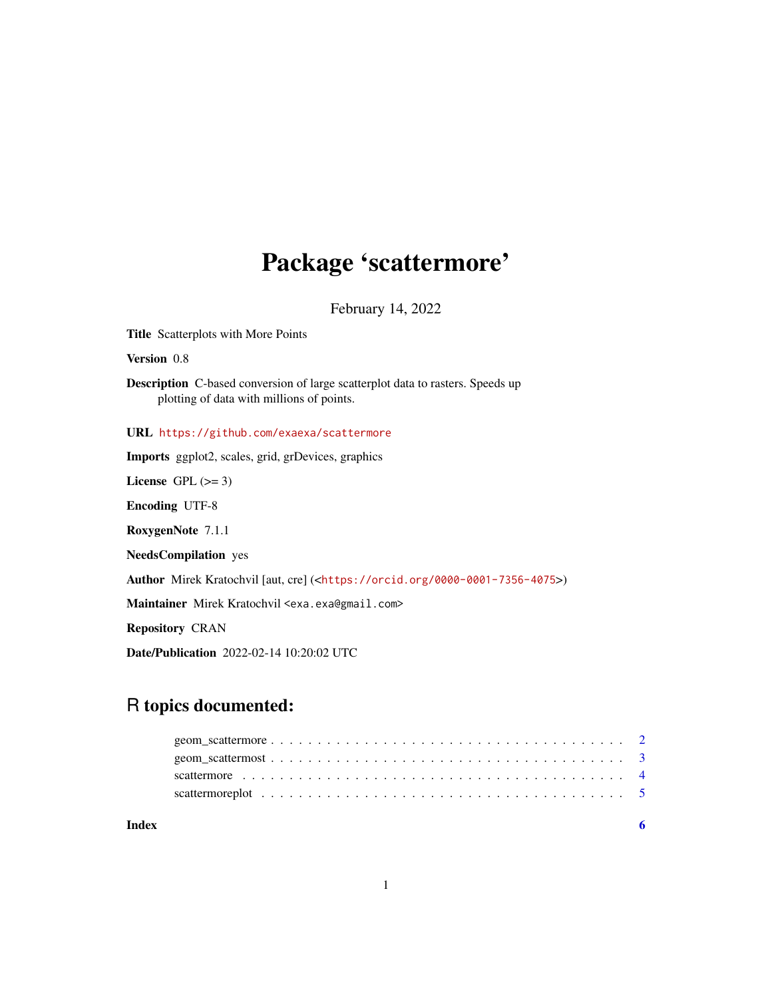## Package 'scattermore'

February 14, 2022

<span id="page-0-0"></span>Title Scatterplots with More Points Version 0.8 Description C-based conversion of large scatterplot data to rasters. Speeds up plotting of data with millions of points. URL <https://github.com/exaexa/scattermore> Imports ggplot2, scales, grid, grDevices, graphics License GPL  $(>= 3)$ Encoding UTF-8 RoxygenNote 7.1.1 NeedsCompilation yes Author Mirek Kratochvil [aut, cre] (<<https://orcid.org/0000-0001-7356-4075>>) Maintainer Mirek Kratochvil <exa.exa@gmail.com> Repository CRAN Date/Publication 2022-02-14 10:20:02 UTC

### R topics documented:

| scattermore plot $\ldots \ldots \ldots \ldots \ldots \ldots \ldots \ldots \ldots \ldots \ldots \ldots \ldots$ |  |
|---------------------------------------------------------------------------------------------------------------|--|
|                                                                                                               |  |
|                                                                                                               |  |
|                                                                                                               |  |
|                                                                                                               |  |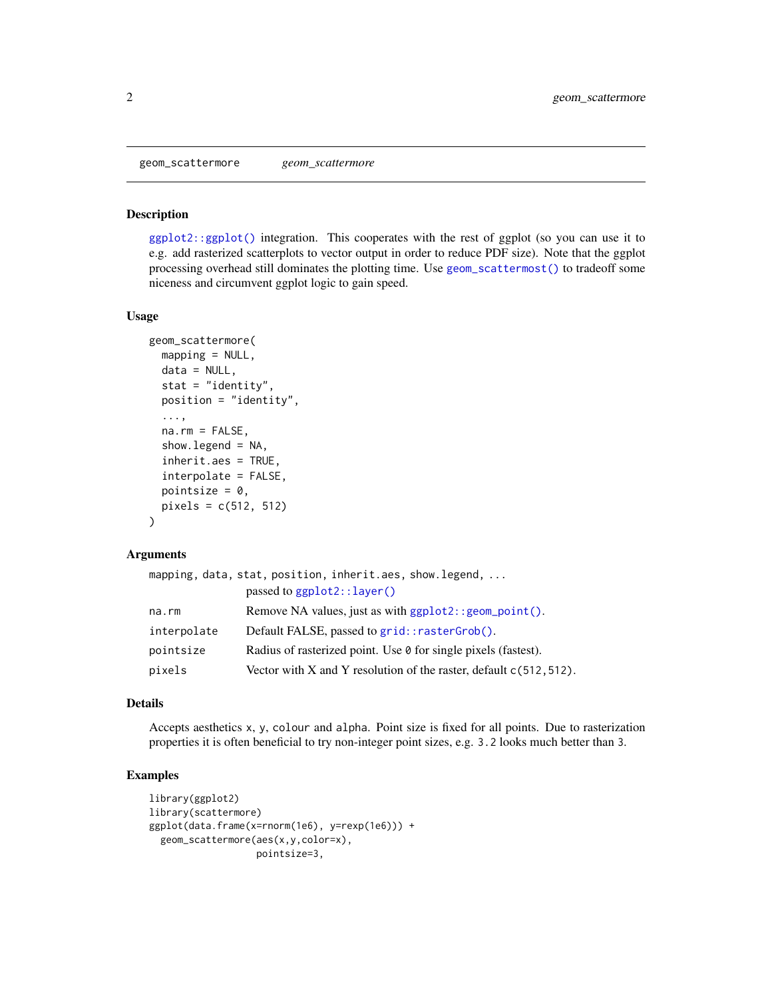<span id="page-1-1"></span><span id="page-1-0"></span>geom\_scattermore *geom\_scattermore*

#### Description

[ggplot2::ggplot\(\)](#page-0-0) integration. This cooperates with the rest of ggplot (so you can use it to e.g. add rasterized scatterplots to vector output in order to reduce PDF size). Note that the ggplot processing overhead still dominates the plotting time. Use [geom\\_scattermost\(\)](#page-2-1) to tradeoff some niceness and circumvent ggplot logic to gain speed.

#### Usage

```
geom_scattermore(
 mapping = NULL,
  data = NULL,stat = "identity",
  position = "identity",
  ...,
  na.rm = FALSE,show.legend = NA,
  inherit.aes = TRUE,
  interpolate = FALSE,
  pointsize = 0,
  pixels = c(512, 512)
)
```
#### Arguments

|             | mapping, data, stat, position, inherit.aes, show.legend,              |
|-------------|-----------------------------------------------------------------------|
|             | passed to ggplot2::layer()                                            |
| na.rm       | Remove NA values, just as with ggplot2:: geom_point().                |
| interpolate | Default FALSE, passed to grid::rasterGrob().                          |
| pointsize   | Radius of rasterized point. Use $\theta$ for single pixels (fastest). |
| pixels      | Vector with X and Y resolution of the raster, default $c(512, 512)$ . |

#### Details

Accepts aesthetics x, y, colour and alpha. Point size is fixed for all points. Due to rasterization properties it is often beneficial to try non-integer point sizes, e.g. 3.2 looks much better than 3.

```
library(ggplot2)
library(scattermore)
ggplot(data.frame(x=rnorm(1e6), y=rexp(1e6))) +
  geom_scattermore(aes(x,y,color=x),
                   pointsize=3,
```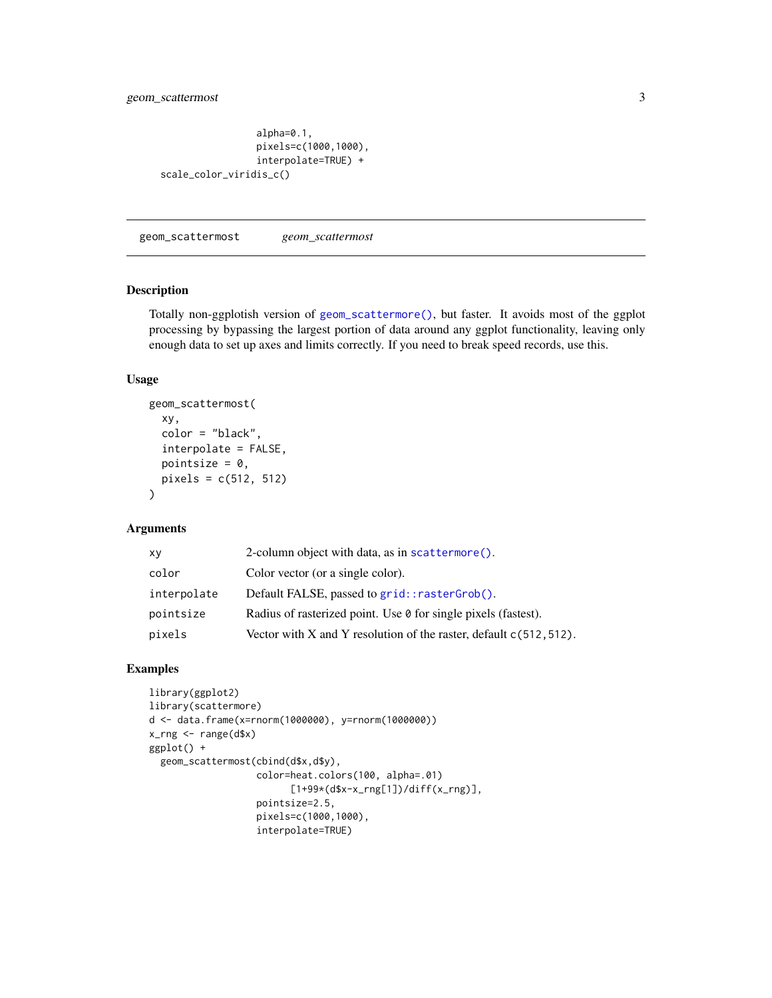```
alpha=0.1,
                 pixels=c(1000,1000),
                 interpolate=TRUE) +
scale_color_viridis_c()
```
<span id="page-2-1"></span>geom\_scattermost *geom\_scattermost*

#### Description

Totally non-ggplotish version of [geom\\_scattermore\(\)](#page-1-1), but faster. It avoids most of the ggplot processing by bypassing the largest portion of data around any ggplot functionality, leaving only enough data to set up axes and limits correctly. If you need to break speed records, use this.

#### Usage

```
geom_scattermost(
  xy,
  color = "black",
  interpolate = FALSE,
  pointsize = 0,
  pixels = c(512, 512)
)
```
#### Arguments

| xy          | 2-column object with data, as in scattermore().                       |
|-------------|-----------------------------------------------------------------------|
| color       | Color vector (or a single color).                                     |
| interpolate | Default FALSE, passed to grid::rasterGrob().                          |
| pointsize   | Radius of rasterized point. Use 0 for single pixels (fastest).        |
| pixels      | Vector with X and Y resolution of the raster, default $c(512, 512)$ . |

```
library(ggplot2)
library(scattermore)
d <- data.frame(x=rnorm(1000000), y=rnorm(1000000))
x_rng <- range(d$x)
ggplot() +
  geom_scattermost(cbind(d$x,d$y),
                   color=heat.colors(100, alpha=.01)
                         [1+99*(d$x-x_rng[1])/diff(x_rng)],
                   pointsize=2.5,
                   pixels=c(1000,1000),
                   interpolate=TRUE)
```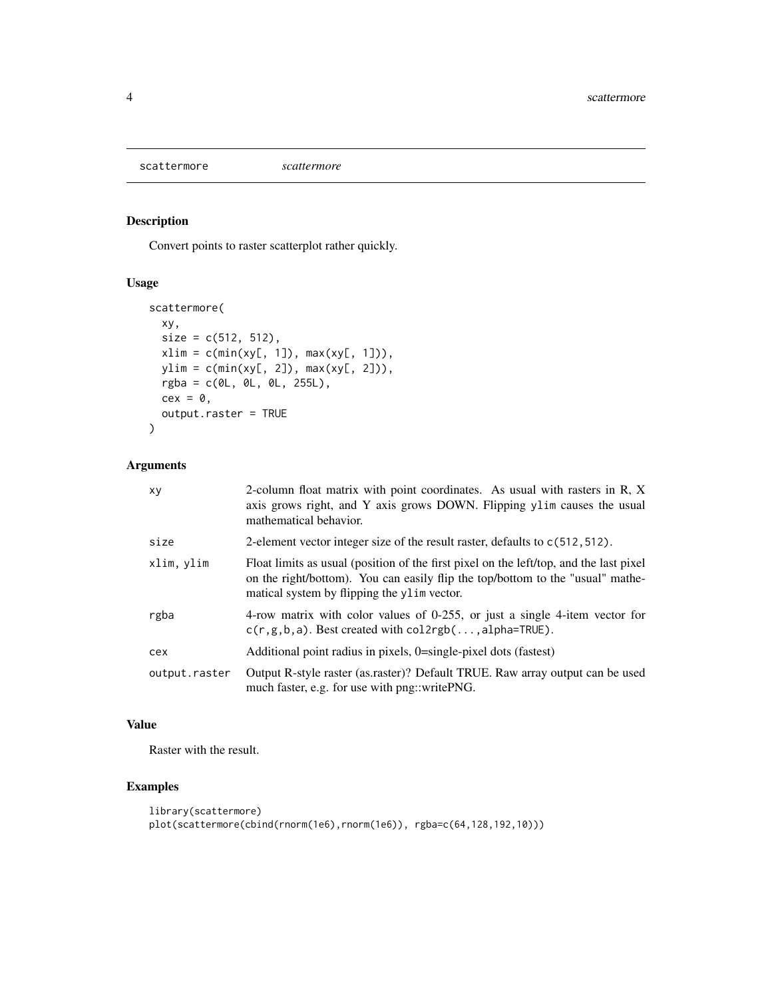<span id="page-3-1"></span><span id="page-3-0"></span>scattermore *scattermore*

#### Description

Convert points to raster scatterplot rather quickly.

#### Usage

```
scattermore(
 xy,
 size = c(512, 512),
 xlim = c(min(xy[, 1]), max(xy[, 1])),
 ylim = c(min(xy[, 2]), max(xy[, 2])),
 rgba = c(0L, 0L, 0L, 255L),
 cex = 0,
 output.raster = TRUE
)
```
#### Arguments

| xy            | 2-column float matrix with point coordinates. As usual with rasters in R, X<br>axis grows right, and Y axis grows DOWN. Flipping ylim causes the usual<br>mathematical behavior.                                        |
|---------------|-------------------------------------------------------------------------------------------------------------------------------------------------------------------------------------------------------------------------|
| size          | 2-element vector integer size of the result raster, defaults to $c(512, 512)$ .                                                                                                                                         |
| xlim, ylim    | Float limits as usual (position of the first pixel on the left/top, and the last pixel<br>on the right/bottom). You can easily flip the top/bottom to the "usual" mathe-<br>matical system by flipping the ylim vector. |
| rgba          | 4-row matrix with color values of 0-255, or just a single 4-item vector for<br>$c(r, g, b, a)$ . Best created with $col2rgb(, alpha=TRUE)$ .                                                                            |
| cex           | Additional point radius in pixels, 0=single-pixel dots (fastest)                                                                                                                                                        |
| output.raster | Output R-style raster (as.raster)? Default TRUE. Raw array output can be used<br>much faster, e.g. for use with png::writePNG.                                                                                          |

#### Value

Raster with the result.

```
library(scattermore)
plot(scattermore(cbind(rnorm(1e6),rnorm(1e6)), rgba=c(64,128,192,10)))
```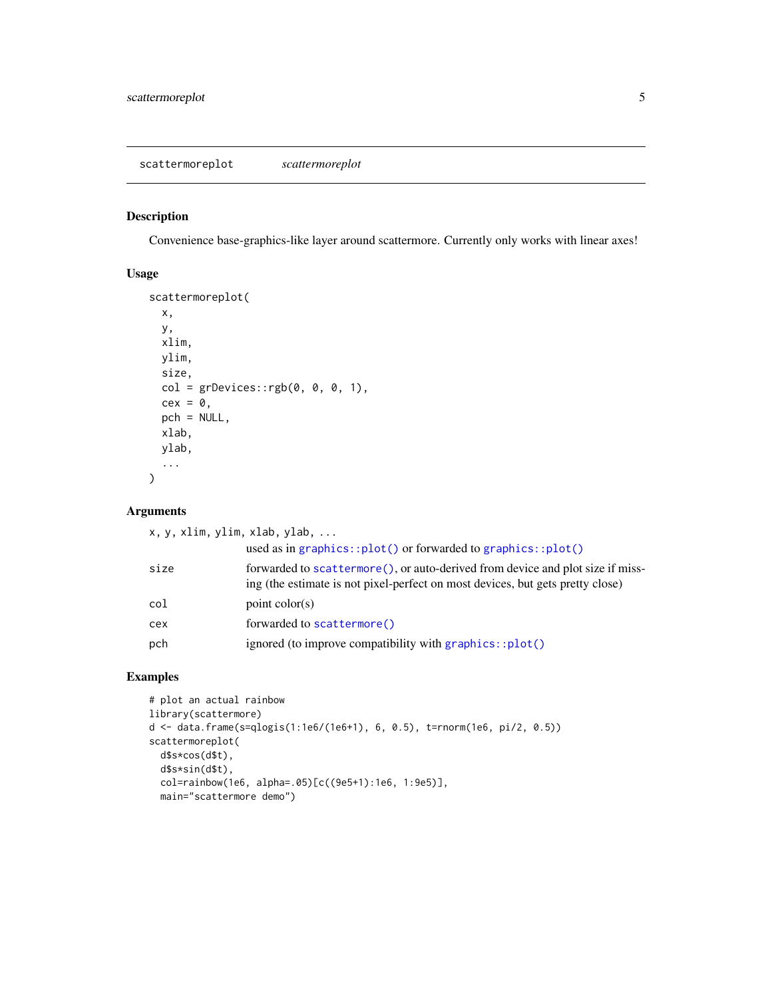#### <span id="page-4-0"></span>Description

Convenience base-graphics-like layer around scattermore. Currently only works with linear axes!

#### Usage

```
scattermoreplot(
  x,
 y,
 xlim,
 ylim,
  size,
 col = grDevices::rgb(0, 0, 0, 1),cex = 0,
 pch = NULL,
 xlab,
 ylab,
  ...
\mathcal{L}
```
#### Arguments

| x, y, xlim, ylim, xlab, ylab, |                                                                                                                                                                   |
|-------------------------------|-------------------------------------------------------------------------------------------------------------------------------------------------------------------|
|                               | used as in graphics:: $plot()$ or forwarded to graphics:: $plot()$                                                                                                |
| size                          | forwarded to scattermore (), or auto-derived from device and plot size if miss-<br>ing (the estimate is not pixel-perfect on most devices, but gets pretty close) |
| col                           | point $color(s)$                                                                                                                                                  |
| cex                           | forwarded to scattermore()                                                                                                                                        |
| pch                           | ignored (to improve compatibility with graphics::plot()                                                                                                           |

```
# plot an actual rainbow
library(scattermore)
d <- data.frame(s=qlogis(1:1e6/(1e6+1), 6, 0.5), t=rnorm(1e6, pi/2, 0.5))
scattermoreplot(
  d$s*cos(d$t),
  d$s*sin(d$t),
  col=rainbow(1e6, alpha=.05)[c((9e5+1):1e6, 1:9e5)],
  main="scattermore demo")
```